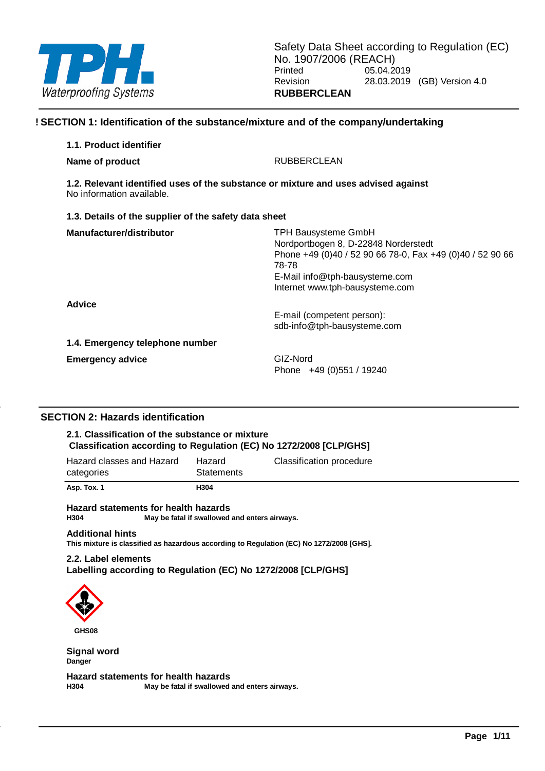

### **! SECTION 1: Identification of the substance/mixture and of the company/undertaking**

| 1.1. Product identifier                                                                                         |                                                                                                                                                                                                               |
|-----------------------------------------------------------------------------------------------------------------|---------------------------------------------------------------------------------------------------------------------------------------------------------------------------------------------------------------|
| Name of product                                                                                                 | <b>RUBBERCLEAN</b>                                                                                                                                                                                            |
| 1.2. Relevant identified uses of the substance or mixture and uses advised against<br>No information available. |                                                                                                                                                                                                               |
| 1.3. Details of the supplier of the safety data sheet                                                           |                                                                                                                                                                                                               |
| Manufacturer/distributor                                                                                        | <b>TPH Bausysteme GmbH</b><br>Nordportbogen 8, D-22848 Norderstedt<br>Phone +49 (0)40 / 52 90 66 78-0, Fax +49 (0)40 / 52 90 66<br>78-78<br>E-Mail info@tph-bausysteme.com<br>Internet www.tph-bausysteme.com |
| <b>Advice</b>                                                                                                   | E-mail (competent person):<br>sdb-info@tph-bausysteme.com                                                                                                                                                     |
| 1.4. Emergency telephone number                                                                                 |                                                                                                                                                                                                               |
| <b>Emergency advice</b>                                                                                         | GIZ-Nord<br>Phone $+49(0)551/19240$                                                                                                                                                                           |

### **SECTION 2: Hazards identification**

### **2.1. Classification of the substance or mixture Classification according to Regulation (EC) No 1272/2008 [CLP/GHS]**

| Asp. Tox. 1                             | H304                        |                          |
|-----------------------------------------|-----------------------------|--------------------------|
| Hazard classes and Hazard<br>categories | Hazard<br><b>Statements</b> | Classification procedure |

**Hazard statements for health hazards H304 May be fatal if swallowed and enters airways.**

#### **Additional hints**

**This mixture is classified as hazardous according to Regulation (EC) No 1272/2008 [GHS].**

### **2.2. Label elements**

**Labelling according to Regulation (EC) No 1272/2008 [CLP/GHS]**



**GHS08**

**Signal word Danger**

**Hazard statements for health hazards H304 May be fatal if swallowed and enters airways.**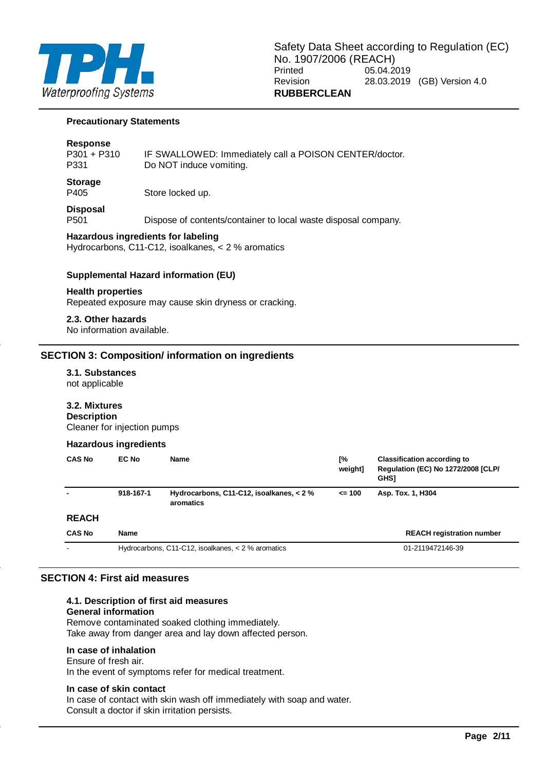

#### **Precautionary Statements**

#### **Response**

| <b>Storage</b> |                                                        |
|----------------|--------------------------------------------------------|
| P331           | Do NOT induce vomiting.                                |
| $P301 + P310$  | IF SWALLOWED: Immediately call a POISON CENTER/doctor. |

P405 Store locked up.

# **Disposal**<br>P501

Dispose of contents/container to local waste disposal company.

### **Hazardous ingredients for labeling**

Hydrocarbons, C11-C12, isoalkanes, < 2 % aromatics

### **Supplemental Hazard information (EU)**

#### **Health properties**

Repeated exposure may cause skin dryness or cracking.

**2.3. Other hazards** No information available.

### **SECTION 3: Composition/ information on ingredients**

# **3.1. Substances**

not applicable

### **3.2. Mixtures**

**Description** Cleaner for injection pumps

#### **Hazardous ingredients**

| <b>CAS No</b> | EC No       | <b>Name</b>                                           | [%<br>weight] | <b>Classification according to</b><br>Regulation (EC) No 1272/2008 [CLP/<br><b>GHSI</b> |
|---------------|-------------|-------------------------------------------------------|---------------|-----------------------------------------------------------------------------------------|
|               | 918-167-1   | Hydrocarbons, C11-C12, isoalkanes, < 2 %<br>aromatics | $= 100$       | Asp. Tox. 1, H304                                                                       |
| <b>REACH</b>  |             |                                                       |               |                                                                                         |
| <b>CAS No</b> | <b>Name</b> |                                                       |               | <b>REACH registration number</b>                                                        |
|               |             | Hydrocarbons, C11-C12, isoalkanes, $<$ 2 % aromatics  |               | 01-2119472146-39                                                                        |

### **SECTION 4: First aid measures**

### **4.1. Description of first aid measures**

### **General information**

Remove contaminated soaked clothing immediately.

Take away from danger area and lay down affected person.

### **In case of inhalation**

Ensure of fresh air. In the event of symptoms refer for medical treatment.

### **In case of skin contact**

In case of contact with skin wash off immediately with soap and water. Consult a doctor if skin irritation persists.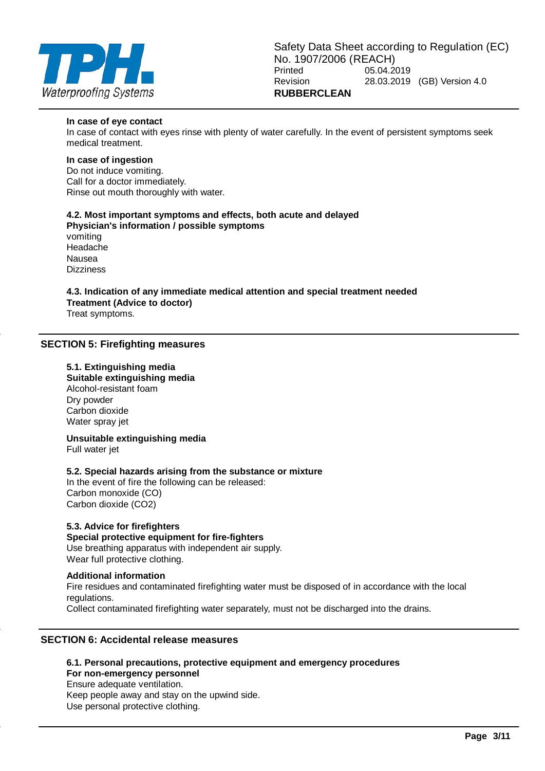

#### **In case of eye contact**

In case of contact with eyes rinse with plenty of water carefully. In the event of persistent symptoms seek medical treatment.

### **In case of ingestion**

Do not induce vomiting. Call for a doctor immediately. Rinse out mouth thoroughly with water.

#### **4.2. Most important symptoms and effects, both acute and delayed Physician's information / possible symptoms**

vomiting Headache Nausea Dizziness

## **4.3. Indication of any immediate medical attention and special treatment needed Treatment (Advice to doctor)**

Treat symptoms.

### **SECTION 5: Firefighting measures**

### **5.1. Extinguishing media Suitable extinguishing media** Alcohol-resistant foam Dry powder Carbon dioxide Water spray jet

**Unsuitable extinguishing media** Full water jet

### **5.2. Special hazards arising from the substance or mixture**

In the event of fire the following can be released: Carbon monoxide (CO) Carbon dioxide (CO2)

### **5.3. Advice for firefighters**

### **Special protective equipment for fire-fighters**

Use breathing apparatus with independent air supply. Wear full protective clothing.

### **Additional information**

Fire residues and contaminated firefighting water must be disposed of in accordance with the local regulations. Collect contaminated firefighting water separately, must not be discharged into the drains.

### **SECTION 6: Accidental release measures**

**6.1. Personal precautions, protective equipment and emergency procedures For non-emergency personnel** Ensure adequate ventilation. Keep people away and stay on the upwind side. Use personal protective clothing.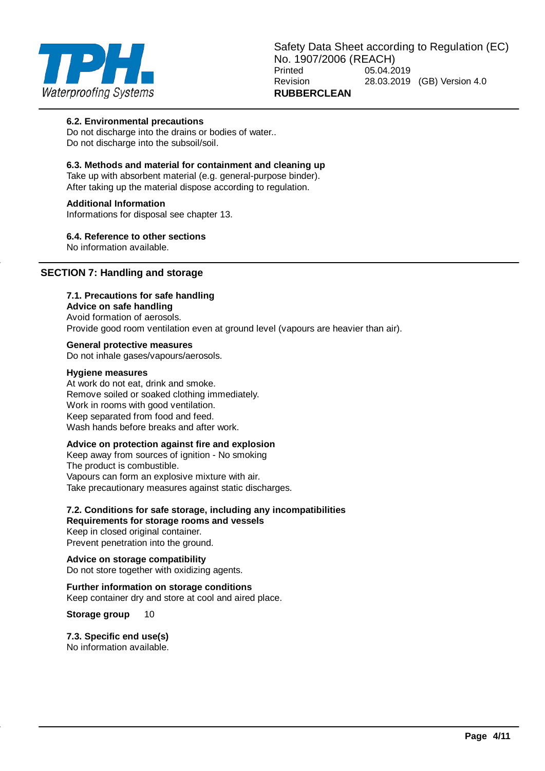

### **6.2. Environmental precautions**

Do not discharge into the drains or bodies of water.. Do not discharge into the subsoil/soil.

### **6.3. Methods and material for containment and cleaning up**

Take up with absorbent material (e.g. general-purpose binder). After taking up the material dispose according to regulation.

### **Additional Information**

Informations for disposal see chapter 13.

### **6.4. Reference to other sections**

No information available.

### **SECTION 7: Handling and storage**

### **7.1. Precautions for safe handling**

### **Advice on safe handling**

Avoid formation of aerosols. Provide good room ventilation even at ground level (vapours are heavier than air).

### **General protective measures**

Do not inhale gases/vapours/aerosols.

#### **Hygiene measures**

At work do not eat, drink and smoke. Remove soiled or soaked clothing immediately. Work in rooms with good ventilation. Keep separated from food and feed. Wash hands before breaks and after work.

### **Advice on protection against fire and explosion**

Keep away from sources of ignition - No smoking The product is combustible. Vapours can form an explosive mixture with air. Take precautionary measures against static discharges.

#### **7.2. Conditions for safe storage, including any incompatibilities Requirements for storage rooms and vessels**

Keep in closed original container. Prevent penetration into the ground.

**Advice on storage compatibility** Do not store together with oxidizing agents.

#### **Further information on storage conditions** Keep container dry and store at cool and aired place.

**Storage group** 10

### **7.3. Specific end use(s)**

No information available.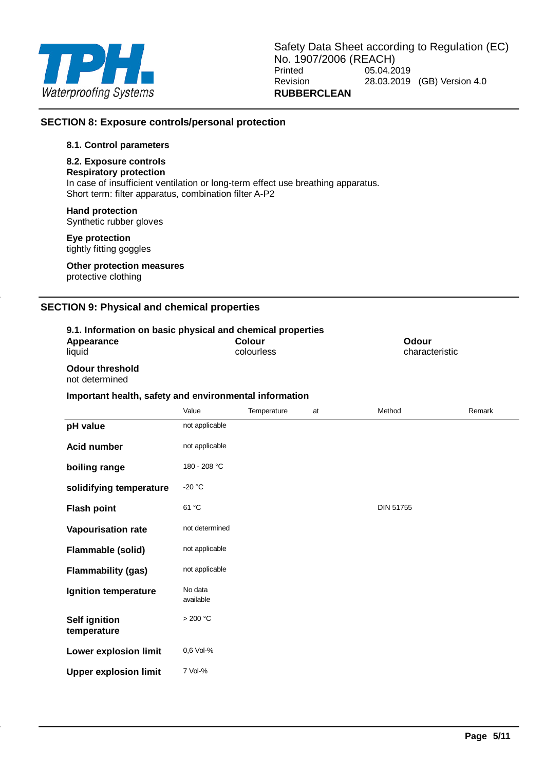

### **SECTION 8: Exposure controls/personal protection**

### **8.1. Control parameters**

### **8.2. Exposure controls**

**Respiratory protection** In case of insufficient ventilation or long-term effect use breathing apparatus.

Short term: filter apparatus, combination filter A-P2

### **Hand protection**

Synthetic rubber gloves

### **Eye protection**

tightly fitting goggles

**Other protection measures** protective clothing

### **SECTION 9: Physical and chemical properties**

| 9.1. Information on basic physical and chemical properties<br>Appearance<br>liquid |                      | <b>Colour</b><br>colourless |    |                  | Odour<br>characteristic |        |
|------------------------------------------------------------------------------------|----------------------|-----------------------------|----|------------------|-------------------------|--------|
| <b>Odour threshold</b><br>not determined                                           |                      |                             |    |                  |                         |        |
| Important health, safety and environmental information                             |                      |                             |    |                  |                         |        |
|                                                                                    | Value                | Temperature                 | at | Method           |                         | Remark |
| pH value                                                                           | not applicable       |                             |    |                  |                         |        |
| <b>Acid number</b>                                                                 | not applicable       |                             |    |                  |                         |        |
| boiling range                                                                      | 180 - 208 °C         |                             |    |                  |                         |        |
| solidifying temperature                                                            | $-20 °C$             |                             |    |                  |                         |        |
| <b>Flash point</b>                                                                 | 61 °C                |                             |    | <b>DIN 51755</b> |                         |        |
| Vapourisation rate                                                                 | not determined       |                             |    |                  |                         |        |
| <b>Flammable (solid)</b>                                                           | not applicable       |                             |    |                  |                         |        |
| <b>Flammability (gas)</b>                                                          | not applicable       |                             |    |                  |                         |        |
| Ignition temperature                                                               | No data<br>available |                             |    |                  |                         |        |
| <b>Self ignition</b><br>temperature                                                | >200 °C              |                             |    |                  |                         |        |
| Lower explosion limit                                                              | 0.6 Vol-%            |                             |    |                  |                         |        |
| <b>Upper explosion limit</b>                                                       | 7 Vol-%              |                             |    |                  |                         |        |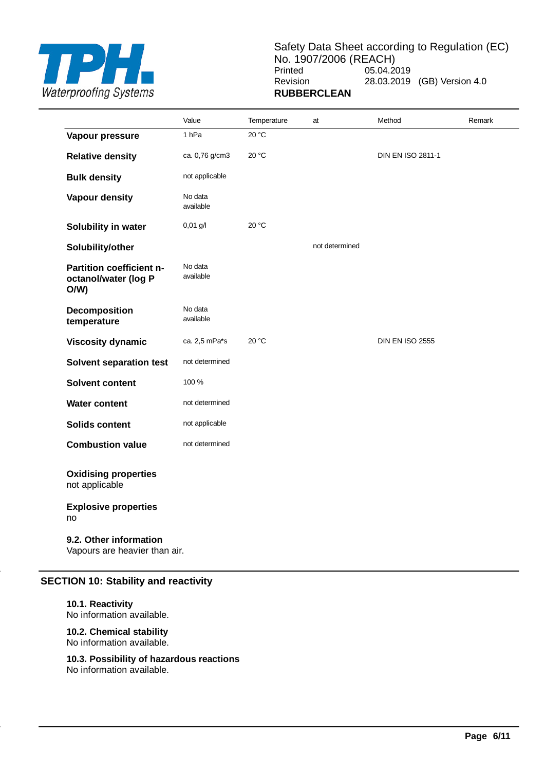

Safety Data Sheet according to Regulation (EC) No. 1907/2006 (REACH)<br>Printed 05.04.2 05.04.2019 Revision 28.03.2019 (GB) Version 4.0 **RUBBERCLEAN**

|                                                         | Value                | Temperature | at             | Method                   | Remark |
|---------------------------------------------------------|----------------------|-------------|----------------|--------------------------|--------|
| Vapour pressure                                         | 1 <sub>hPa</sub>     | 20 °C       |                |                          |        |
| <b>Relative density</b>                                 | ca. 0,76 g/cm3       | 20 °C       |                | <b>DIN EN ISO 2811-1</b> |        |
| <b>Bulk density</b>                                     | not applicable       |             |                |                          |        |
| <b>Vapour density</b>                                   | No data<br>available |             |                |                          |        |
| Solubility in water                                     | $0,01$ g/l           | 20 °C       |                |                          |        |
| Solubility/other                                        |                      |             | not determined |                          |        |
| Partition coefficient n-<br>octanol/water (log P<br>O/W | No data<br>available |             |                |                          |        |
| Decomposition<br>temperature                            | No data<br>available |             |                |                          |        |
| <b>Viscosity dynamic</b>                                | ca. 2,5 mPa*s        | 20 °C       |                | <b>DIN EN ISO 2555</b>   |        |
| <b>Solvent separation test</b>                          | not determined       |             |                |                          |        |
| <b>Solvent content</b>                                  | 100 %                |             |                |                          |        |
| <b>Water content</b>                                    | not determined       |             |                |                          |        |
| <b>Solids content</b>                                   | not applicable       |             |                |                          |        |
| <b>Combustion value</b>                                 | not determined       |             |                |                          |        |
| <b>Oxidising properties</b><br>not applicable           |                      |             |                |                          |        |
| <b>Explosive properties</b><br>no                       |                      |             |                |                          |        |
| 9.2. Other information<br>Vapours are heavier than air. |                      |             |                |                          |        |

### **SECTION 10: Stability and reactivity**

### **10.1. Reactivity**

No information available.

**10.2. Chemical stability** No information available.

**10.3. Possibility of hazardous reactions** No information available.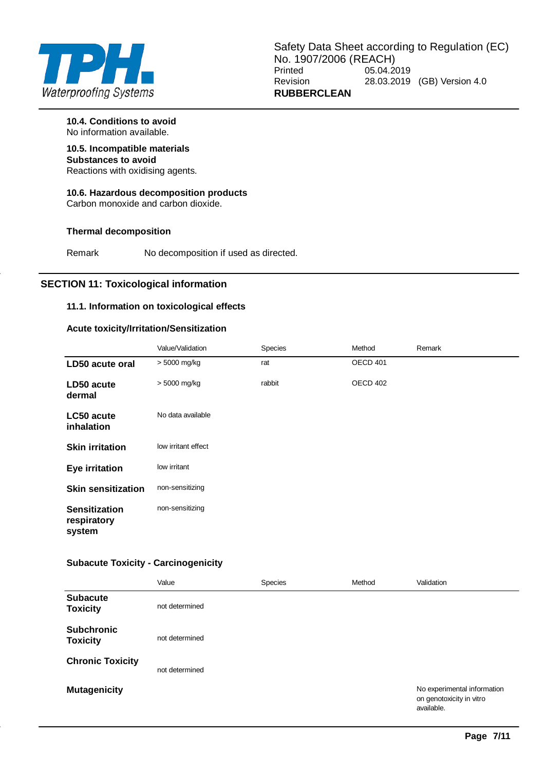

**10.4. Conditions to avoid** No information available.

**10.5. Incompatible materials Substances to avoid**

Reactions with oxidising agents.

## **10.6. Hazardous decomposition products**

Carbon monoxide and carbon dioxide.

### **Thermal decomposition**

Remark No decomposition if used as directed.

### **SECTION 11: Toxicological information**

### **11.1. Information on toxicological effects**

### **Acute toxicity/Irritation/Sensitization**

|                                               | Value/Validation    | Species | Method   | Remark |
|-----------------------------------------------|---------------------|---------|----------|--------|
| LD50 acute oral                               | > 5000 mg/kg        | rat     | OECD 401 |        |
| LD50 acute<br>dermal                          | > 5000 mg/kg        | rabbit  | OECD 402 |        |
| LC50 acute<br>inhalation                      | No data available   |         |          |        |
| <b>Skin irritation</b>                        | low irritant effect |         |          |        |
| <b>Eye irritation</b>                         | low irritant        |         |          |        |
| <b>Skin sensitization</b>                     | non-sensitizing     |         |          |        |
| <b>Sensitization</b><br>respiratory<br>system | non-sensitizing     |         |          |        |

### **Subacute Toxicity - Carcinogenicity**

|                                      | Value          | Species | Method | Validation                                                            |
|--------------------------------------|----------------|---------|--------|-----------------------------------------------------------------------|
| <b>Subacute</b><br><b>Toxicity</b>   | not determined |         |        |                                                                       |
| <b>Subchronic</b><br><b>Toxicity</b> | not determined |         |        |                                                                       |
| <b>Chronic Toxicity</b>              | not determined |         |        |                                                                       |
| <b>Mutagenicity</b>                  |                |         |        | No experimental information<br>on genotoxicity in vitro<br>available. |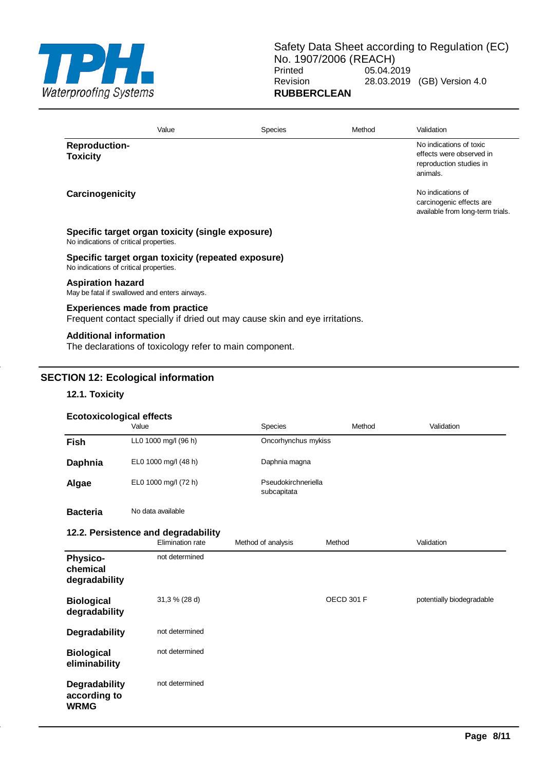

|                                         | Value                                                   | Species                                                                     | Method | Validation                                                                                 |
|-----------------------------------------|---------------------------------------------------------|-----------------------------------------------------------------------------|--------|--------------------------------------------------------------------------------------------|
| <b>Reproduction-</b><br><b>Toxicity</b> |                                                         |                                                                             |        | No indications of toxic<br>effects were observed in<br>reproduction studies in<br>animals. |
| Carcinogenicity                         |                                                         |                                                                             |        | No indications of<br>carcinogenic effects are<br>available from long-term trials.          |
| No indications of critical properties.  | Specific target organ toxicity (single exposure)        |                                                                             |        |                                                                                            |
| No indications of critical properties.  | Specific target organ toxicity (repeated exposure)      |                                                                             |        |                                                                                            |
| <b>Aspiration hazard</b>                | May be fatal if swallowed and enters airways.           |                                                                             |        |                                                                                            |
|                                         | <b>Experiences made from practice</b>                   | Frequent contact specially if dried out may cause skin and eye irritations. |        |                                                                                            |
| <b>Additional information</b>           | The declarations of toxicology refer to main component. |                                                                             |        |                                                                                            |

### **SECTION 12: Ecological information**

### **12.1. Toxicity**

#### **Ecotoxicological effects**

|                 | Value                | <b>Species</b>                     | Method | Validation |
|-----------------|----------------------|------------------------------------|--------|------------|
| <b>Fish</b>     | LL0 1000 mg/l (96 h) | Oncorhynchus mykiss                |        |            |
| Daphnia         | EL0 1000 mg/l (48 h) | Daphnia magna                      |        |            |
| Algae           | EL0 1000 mg/l (72 h) | Pseudokirchneriella<br>subcapitata |        |            |
| <b>Bacteria</b> | No data available    |                                    |        |            |

### **12.2. Persistence and degradability**

|                                              | Elimination rate | Method of analysis | Method            | Validation                |
|----------------------------------------------|------------------|--------------------|-------------------|---------------------------|
| <b>Physico-</b><br>chemical<br>degradability | not determined   |                    |                   |                           |
| <b>Biological</b><br>degradability           | 31,3 % (28 d)    |                    | <b>OECD 301 F</b> | potentially biodegradable |
| Degradability                                | not determined   |                    |                   |                           |
| <b>Biological</b><br>eliminability           | not determined   |                    |                   |                           |
| Degradability<br>according to<br><b>WRMG</b> | not determined   |                    |                   |                           |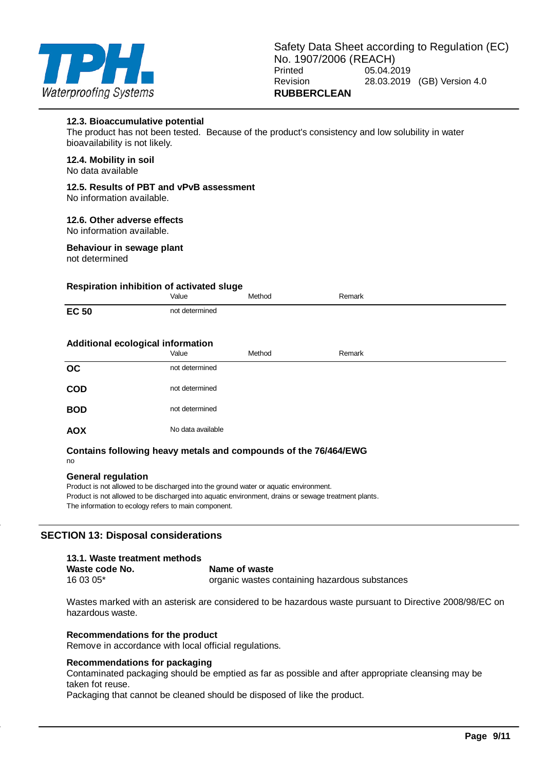

#### **12.3. Bioaccumulative potential**

The product has not been tested. Because of the product's consistency and low solubility in water bioavailability is not likely.

#### **12.4. Mobility in soil** No data available

# **12.5. Results of PBT and vPvB assessment**

No information available.

### **12.6. Other adverse effects**

No information available.

### **Behaviour in sewage plant**

not determined

### **Respiration inhibition of activated sluge**

### **Contains following heavy metals and compounds of the 76/464/EWG**

no

### **General regulation**

Product is not allowed to be discharged into the ground water or aquatic environment. Product is not allowed to be discharged into aquatic environment, drains or sewage treatment plants. The information to ecology refers to main component.

### **SECTION 13: Disposal considerations**

| 13.1. Waste treatment methods |                                                |
|-------------------------------|------------------------------------------------|
| Waste code No.                | Name of waste                                  |
| $160305*$                     | organic wastes containing hazardous substances |

Wastes marked with an asterisk are considered to be hazardous waste pursuant to Directive 2008/98/EC on hazardous waste.

### **Recommendations for the product**

Remove in accordance with local official regulations.

### **Recommendations for packaging**

Contaminated packaging should be emptied as far as possible and after appropriate cleansing may be taken fot reuse.

Packaging that cannot be cleaned should be disposed of like the product.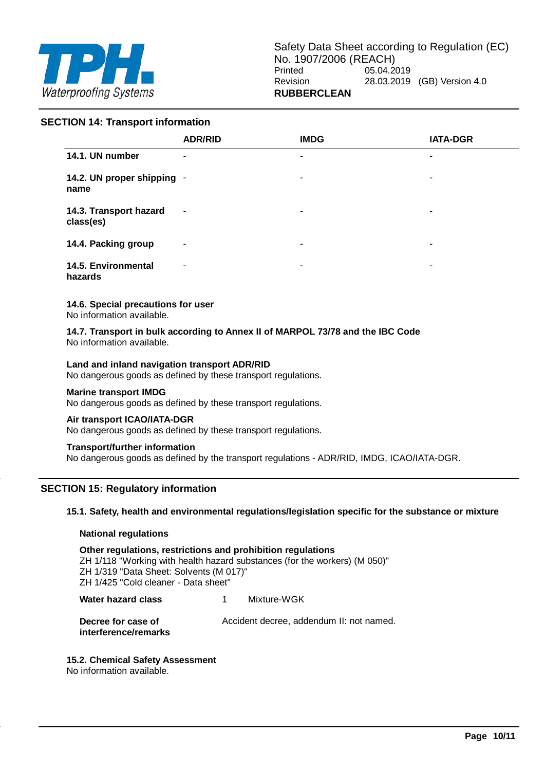

### **SECTION 14: Transport information**

|                                     | <b>ADR/RID</b>           | <b>IMDG</b>    | <b>IATA-DGR</b> |
|-------------------------------------|--------------------------|----------------|-----------------|
| 14.1. UN number                     | ٠                        | $\blacksquare$ | ۰               |
| 14.2. UN proper shipping -<br>name  |                          | ۰              | ٠               |
| 14.3. Transport hazard<br>class(es) | $\overline{\phantom{a}}$ | ۰              | ٠               |
| 14.4. Packing group                 | $\overline{\phantom{a}}$ | ۰              | ۰               |
| 14.5. Environmental<br>hazards      | ٠                        | ۰              | ۰               |

### **14.6. Special precautions for user**

No information available.

**14.7. Transport in bulk according to Annex II of MARPOL 73/78 and the IBC Code** No information available.

### **Land and inland navigation transport ADR/RID**

No dangerous goods as defined by these transport regulations.

#### **Marine transport IMDG**

No dangerous goods as defined by these transport regulations.

#### **Air transport ICAO/IATA-DGR**

No dangerous goods as defined by these transport regulations.

### **Transport/further information**

No dangerous goods as defined by the transport regulations - ADR/RID, IMDG, ICAO/IATA-DGR.

### **SECTION 15: Regulatory information**

**15.1. Safety, health and environmental regulations/legislation specific for the substance or mixture**

### **National regulations**

**Other regulations, restrictions and prohibition regulations** ZH 1/118 "Working with health hazard substances (for the workers) (M 050)" ZH 1/319 "Data Sheet: Solvents (M 017)" ZH 1/425 "Cold cleaner - Data sheet"

**Water hazard class** 1 Mixture-WGK

**Decree for case of Accident decree, addendum II: not named. interference/remarks**

### **15.2. Chemical Safety Assessment**

No information available.